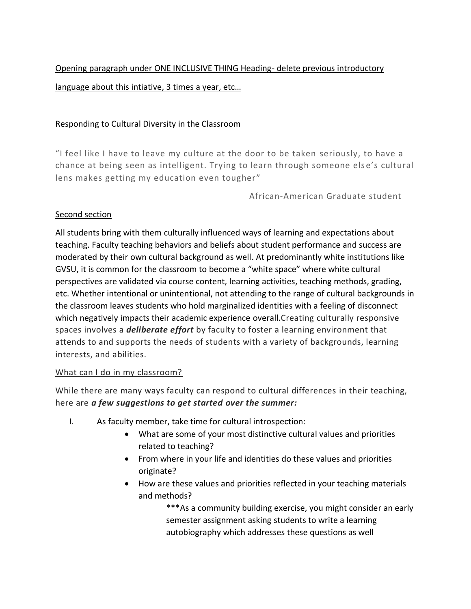Opening paragraph under ONE INCLUSIVE THING Heading- delete previous introductory language about this intiative, 3 times a year, etc…

## Responding to Cultural Diversity in the Classroom

"I feel like I have to leave my culture at the door to be taken seriously, to have a chance at being seen as intelligent. Trying to learn through someone els e's cultural lens makes getting my education even tougher"

African-American Graduate student

## Second section

All students bring with them culturally influenced ways of learning and expectations about teaching. Faculty teaching behaviors and beliefs about student performance and success are moderated by their own cultural background as well. At predominantly white institutions like GVSU, it is common for the classroom to become a "white space" where white cultural perspectives are validated via course content, learning activities, teaching methods, grading, etc. Whether intentional or unintentional, not attending to the range of cultural backgrounds in the classroom leaves students who hold marginalized identities with a feeling of disconnect which negatively impacts their academic experience overall.Creating culturally responsive spaces involves a *deliberate effort* by faculty to foster a learning environment that attends to and supports the needs of students with a variety of backgrounds, learning interests, and abilities.

## What can I do in my classroom?

While there are many ways faculty can respond to cultural differences in their teaching, here are *a few suggestions to get started over the summer:*

- I. As faculty member, take time for cultural introspection:
	- What are some of your most distinctive cultural values and priorities related to teaching?
	- From where in your life and identities do these values and priorities originate?
	- How are these values and priorities reflected in your teaching materials and methods?

\*\*\*As a community building exercise, you might consider an early semester assignment asking students to write a learning autobiography which addresses these questions as well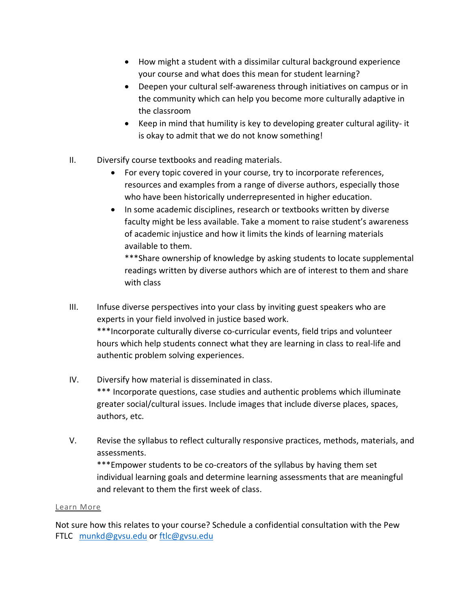- How might a student with a dissimilar cultural background experience your course and what does this mean for student learning?
- Deepen your cultural self-awareness through initiatives on campus or in the community which can help you become more culturally adaptive in the classroom
- Keep in mind that humility is key to developing greater cultural agility- it is okay to admit that we do not know something!
- II. Diversify course textbooks and reading materials.
	- For every topic covered in your course, try to incorporate references, resources and examples from a range of diverse authors, especially those who have been historically underrepresented in higher education.
	- In some academic disciplines, research or textbooks written by diverse faculty might be less available. Take a moment to raise student's awareness of academic injustice and how it limits the kinds of learning materials available to them.

\*\*\*Share ownership of knowledge by asking students to locate supplemental readings written by diverse authors which are of interest to them and share with class

- III. Infuse diverse perspectives into your class by inviting guest speakers who are experts in your field involved in justice based work. \*\*\*Incorporate culturally diverse co-curricular events, field trips and volunteer hours which help students connect what they are learning in class to real-life and authentic problem solving experiences.
- IV. Diversify how material is disseminated in class. \*\*\* Incorporate questions, case studies and authentic problems which illuminate greater social/cultural issues. Include images that include diverse places, spaces, authors, etc.
- V. Revise the syllabus to reflect culturally responsive practices, methods, materials, and assessments.

\*\*\*Empower students to be co-creators of the syllabus by having them set individual learning goals and determine learning assessments that are meaningful and relevant to them the first week of class.

## Learn More

Not sure how this relates to your course? Schedule a confidential consultation with the Pew FTLC [munkd@gvsu.edu](mailto:munkd@gvsu.edu) or [ftlc@gvsu.edu](mailto:ftlc@gvsu.edu)